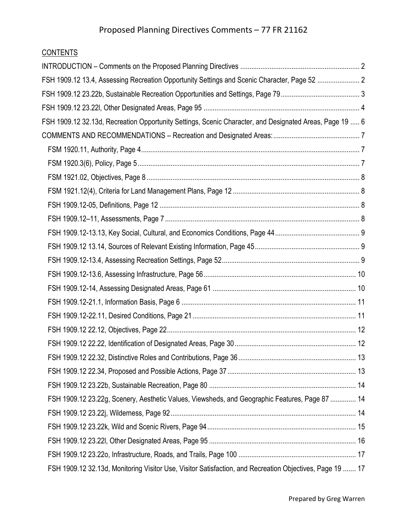# **CONTENTS**

| FSH 1909.12 13.4, Assessing Recreation Opportunity Settings and Scenic Character, Page 52  2             |  |
|----------------------------------------------------------------------------------------------------------|--|
|                                                                                                          |  |
|                                                                                                          |  |
| FSH 1909.12 32.13d, Recreation Opportunity Settings, Scenic Character, and Designated Areas, Page 19  6  |  |
|                                                                                                          |  |
|                                                                                                          |  |
|                                                                                                          |  |
|                                                                                                          |  |
|                                                                                                          |  |
|                                                                                                          |  |
|                                                                                                          |  |
|                                                                                                          |  |
|                                                                                                          |  |
|                                                                                                          |  |
|                                                                                                          |  |
|                                                                                                          |  |
|                                                                                                          |  |
|                                                                                                          |  |
|                                                                                                          |  |
|                                                                                                          |  |
|                                                                                                          |  |
|                                                                                                          |  |
|                                                                                                          |  |
| FSH 1909.12 23.22g, Scenery, Aesthetic Values, Viewsheds, and Geographic Features, Page 87  14           |  |
|                                                                                                          |  |
|                                                                                                          |  |
|                                                                                                          |  |
|                                                                                                          |  |
| FSH 1909.12 32.13d, Monitoring Visitor Use, Visitor Satisfaction, and Recreation Objectives, Page 19  17 |  |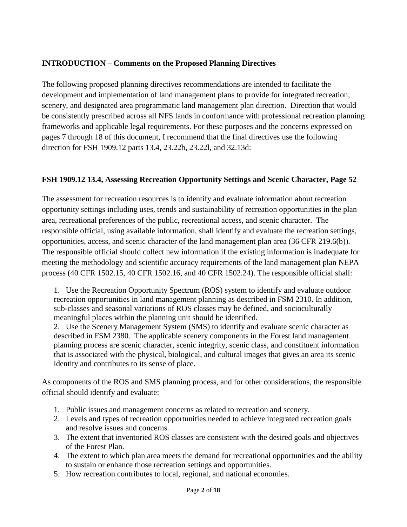### <span id="page-1-0"></span>**INTRODUCTION – Comments on the Proposed Planning Directives**

The following proposed planning directives recommendations are intended to facilitate the development and implementation of land management plans to provide for integrated recreation, scenery, and designated area programmatic land management plan direction. Direction that would be consistently prescribed across all NFS lands in conformance with professional recreation planning frameworks and applicable legal requirements. For these purposes and the concerns expressed on pages 7 through 18 of this document, I recommend that the final directives use the following direction for FSH 1909.12 parts 13.4, 23.22b, 23.22l, and 32.13d:

### <span id="page-1-1"></span>**FSH 1909.12 13.4, Assessing Recreation Opportunity Settings and Scenic Character, Page 52**

The assessment for recreation resources is to identify and evaluate information about recreation opportunity settings including uses, trends and sustainability of recreation opportunities in the plan area, recreational preferences of the public, recreational access, and scenic character. The responsible official, using available information, shall identify and evaluate the recreation settings, opportunities, access, and scenic character of the land management plan area (36 CFR 219.6(b)). The responsible official should collect new information if the existing information is inadequate for meeting the methodology and scientific accuracy requirements of the land management plan NEPA process (40 CFR 1502.15, 40 CFR 1502.16, and 40 CFR 1502.24). The responsible official shall:

1. Use the Recreation Opportunity Spectrum (ROS) system to identify and evaluate outdoor recreation opportunities in land management planning as described in FSM 2310. In addition, sub-classes and seasonal variations of ROS classes may be defined, and socioculturally meaningful places within the planning unit should be identified.

2. Use the Scenery Management System (SMS) to identify and evaluate scenic character as described in FSM 2380. The applicable scenery components in the Forest land management planning process are scenic character, scenic integrity, scenic class, and constituent information that is associated with the physical, biological, and cultural images that gives an area its scenic identity and contributes to its sense of place.

As components of the ROS and SMS planning process, and for other considerations, the responsible official should identify and evaluate:

- 1. Public issues and management concerns as related to recreation and scenery.
- 2. Levels and types of recreation opportunities needed to achieve integrated recreation goals and resolve issues and concerns.
- 3. The extent that inventoried ROS classes are consistent with the desired goals and objectives of the Forest Plan.
- 4. The extent to which plan area meets the demand for recreational opportunities and the ability to sustain or enhance those recreation settings and opportunities.
- 5. How recreation contributes to local, regional, and national economies.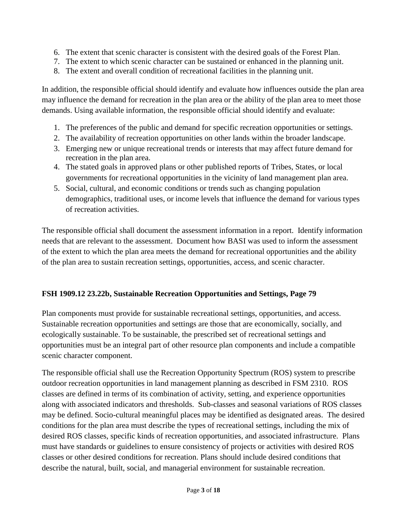- 6. The extent that scenic character is consistent with the desired goals of the Forest Plan.
- 7. The extent to which scenic character can be sustained or enhanced in the planning unit.
- 8. The extent and overall condition of recreational facilities in the planning unit.

In addition, the responsible official should identify and evaluate how influences outside the plan area may influence the demand for recreation in the plan area or the ability of the plan area to meet those demands. Using available information, the responsible official should identify and evaluate:

- 1. The preferences of the public and demand for specific recreation opportunities or settings.
- 2. The availability of recreation opportunities on other lands within the broader landscape.
- 3. Emerging new or unique recreational trends or interests that may affect future demand for recreation in the plan area.
- 4. The stated goals in approved plans or other published reports of Tribes, States, or local governments for recreational opportunities in the vicinity of land management plan area.
- 5. Social, cultural, and economic conditions or trends such as changing population demographics, traditional uses, or income levels that influence the demand for various types of recreation activities.

The responsible official shall document the assessment information in a report. Identify information needs that are relevant to the assessment. Document how BASI was used to inform the assessment of the extent to which the plan area meets the demand for recreational opportunities and the ability of the plan area to sustain recreation settings, opportunities, access, and scenic character.

### <span id="page-2-0"></span>**FSH 1909.12 23.22b, Sustainable Recreation Opportunities and Settings, Page 79**

Plan components must provide for sustainable recreational settings, opportunities, and access. Sustainable recreation opportunities and settings are those that are economically, socially, and ecologically sustainable. To be sustainable, the prescribed set of recreational settings and opportunities must be an integral part of other resource plan components and include a compatible scenic character component.

The responsible official shall use the Recreation Opportunity Spectrum (ROS) system to prescribe outdoor recreation opportunities in land management planning as described in FSM 2310. ROS classes are defined in terms of its combination of activity, setting, and experience opportunities along with associated indicators and thresholds. Sub-classes and seasonal variations of ROS classes may be defined. Socio-cultural meaningful places may be identified as designated areas. The desired conditions for the plan area must describe the types of recreational settings, including the mix of desired ROS classes, specific kinds of recreation opportunities, and associated infrastructure. Plans must have standards or guidelines to ensure consistency of projects or activities with desired ROS classes or other desired conditions for recreation. Plans should include desired conditions that describe the natural, built, social, and managerial environment for sustainable recreation.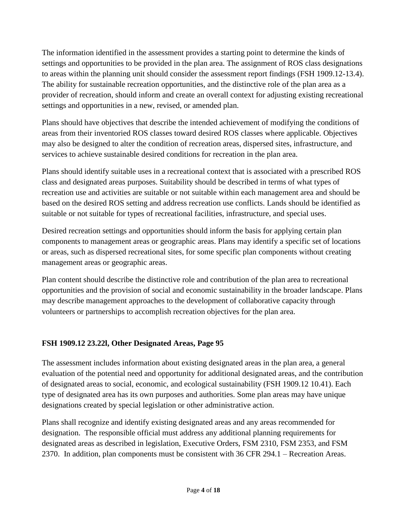The information identified in the assessment provides a starting point to determine the kinds of settings and opportunities to be provided in the plan area. The assignment of ROS class designations to areas within the planning unit should consider the assessment report findings (FSH 1909.12-13.4). The ability for sustainable recreation opportunities, and the distinctive role of the plan area as a provider of recreation, should inform and create an overall context for adjusting existing recreational settings and opportunities in a new, revised, or amended plan.

Plans should have objectives that describe the intended achievement of modifying the conditions of areas from their inventoried ROS classes toward desired ROS classes where applicable. Objectives may also be designed to alter the condition of recreation areas, dispersed sites, infrastructure, and services to achieve sustainable desired conditions for recreation in the plan area.

Plans should identify suitable uses in a recreational context that is associated with a prescribed ROS class and designated areas purposes. Suitability should be described in terms of what types of recreation use and activities are suitable or not suitable within each management area and should be based on the desired ROS setting and address recreation use conflicts. Lands should be identified as suitable or not suitable for types of recreational facilities, infrastructure, and special uses.

Desired recreation settings and opportunities should inform the basis for applying certain plan components to management areas or geographic areas. Plans may identify a specific set of locations or areas, such as dispersed recreational sites, for some specific plan components without creating management areas or geographic areas.

Plan content should describe the distinctive role and contribution of the plan area to recreational opportunities and the provision of social and economic sustainability in the broader landscape. Plans may describe management approaches to the development of collaborative capacity through volunteers or partnerships to accomplish recreation objectives for the plan area.

### <span id="page-3-0"></span>**FSH 1909.12 23.22l, Other Designated Areas, Page 95**

The assessment includes information about existing designated areas in the plan area, a general evaluation of the potential need and opportunity for additional designated areas, and the contribution of designated areas to social, economic, and ecological sustainability (FSH 1909.12 10.41). Each type of designated area has its own purposes and authorities. Some plan areas may have unique designations created by special legislation or other administrative action.

Plans shall recognize and identify existing designated areas and any areas recommended for designation. The responsible official must address any additional planning requirements for designated areas as described in legislation, Executive Orders, FSM 2310, FSM 2353, and FSM 2370. In addition, plan components must be consistent with 36 CFR 294.1 – Recreation Areas.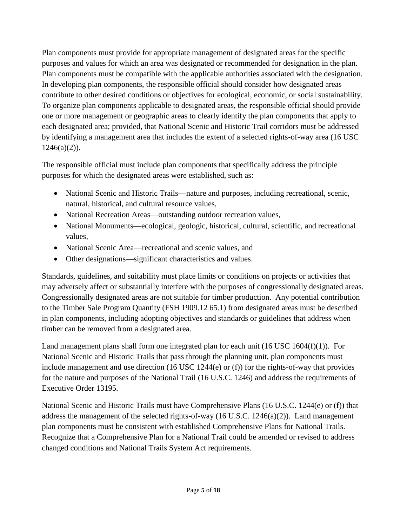Plan components must provide for appropriate management of designated areas for the specific purposes and values for which an area was designated or recommended for designation in the plan. Plan components must be compatible with the applicable authorities associated with the designation. In developing plan components, the responsible official should consider how designated areas contribute to other desired conditions or objectives for ecological, economic, or social sustainability. To organize plan components applicable to designated areas, the responsible official should provide one or more management or geographic areas to clearly identify the plan components that apply to each designated area; provided, that National Scenic and Historic Trail corridors must be addressed by identifying a management area that includes the extent of a selected rights-of-way area (16 USC  $1246(a)(2)$ ).

The responsible official must include plan components that specifically address the principle purposes for which the designated areas were established, such as:

- National Scenic and Historic Trails—nature and purposes, including recreational, scenic, natural, historical, and cultural resource values,
- National Recreation Areas—outstanding outdoor recreation values,
- National Monuments—ecological, geologic, historical, cultural, scientific, and recreational values,
- National Scenic Area—recreational and scenic values, and
- Other designations—significant characteristics and values.

Standards, guidelines, and suitability must place limits or conditions on projects or activities that may adversely affect or substantially interfere with the purposes of congressionally designated areas. Congressionally designated areas are not suitable for timber production. Any potential contribution to the Timber Sale Program Quantity (FSH 1909.12 65.1) from designated areas must be described in plan components, including adopting objectives and standards or guidelines that address when timber can be removed from a designated area.

Land management plans shall form one integrated plan for each unit  $(16 \text{ USC } 1604(f)(1))$ . For National Scenic and Historic Trails that pass through the planning unit, plan components must include management and use direction (16 USC 1244(e) or (f)) for the rights-of-way that provides for the nature and purposes of the National Trail (16 U.S.C. 1246) and address the requirements of Executive Order 13195.

National Scenic and Historic Trails must have Comprehensive Plans (16 U.S.C. 1244(e) or (f)) that address the management of the selected rights-of-way  $(16 \text{ U.S.C. } 1246(a)(2))$ . Land management plan components must be consistent with established Comprehensive Plans for National Trails. Recognize that a Comprehensive Plan for a National Trail could be amended or revised to address changed conditions and National Trails System Act requirements.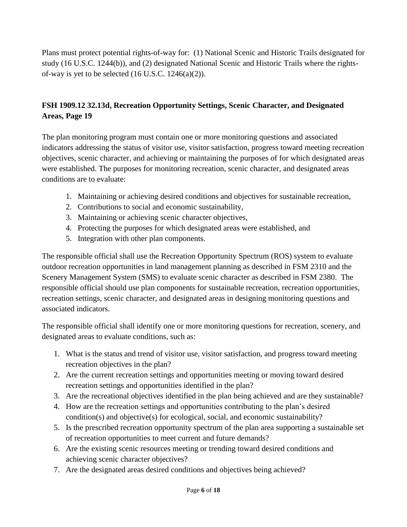Plans must protect potential rights-of-way for: (1) National Scenic and Historic Trails designated for study (16 U.S.C. 1244(b)), and (2) designated National Scenic and Historic Trails where the rightsof-way is yet to be selected  $(16$  U.S.C.  $1246(a)(2)$ ).

# <span id="page-5-0"></span>**FSH 1909.12 32.13d, Recreation Opportunity Settings, Scenic Character, and Designated Areas, Page 19**

The plan monitoring program must contain one or more monitoring questions and associated indicators addressing the status of visitor use, visitor satisfaction, progress toward meeting recreation objectives, scenic character, and achieving or maintaining the purposes of for which designated areas were established. The purposes for monitoring recreation, scenic character, and designated areas conditions are to evaluate:

- 1. Maintaining or achieving desired conditions and objectives for sustainable recreation,
- 2. Contributions to social and economic sustainability,
- 3. Maintaining or achieving scenic character objectives,
- 4. Protecting the purposes for which designated areas were established, and
- 5. Integration with other plan components.

The responsible official shall use the Recreation Opportunity Spectrum (ROS) system to evaluate outdoor recreation opportunities in land management planning as described in FSM 2310 and the Scenery Management System (SMS) to evaluate scenic character as described in FSM 2380. The responsible official should use plan components for sustainable recreation, recreation opportunities, recreation settings, scenic character, and designated areas in designing monitoring questions and associated indicators.

The responsible official shall identify one or more monitoring questions for recreation, scenery, and designated areas to evaluate conditions, such as:

- 1. What is the status and trend of visitor use, visitor satisfaction, and progress toward meeting recreation objectives in the plan?
- 2. Are the current recreation settings and opportunities meeting or moving toward desired recreation settings and opportunities identified in the plan?
- 3. Are the recreational objectives identified in the plan being achieved and are they sustainable?
- 4. How are the recreation settings and opportunities contributing to the plan's desired condition(s) and objective(s) for ecological, social, and economic sustainability?
- 5. Is the prescribed recreation opportunity spectrum of the plan area supporting a sustainable set of recreation opportunities to meet current and future demands?
- 6. Are the existing scenic resources meeting or trending toward desired conditions and achieving scenic character objectives?
- 7. Are the designated areas desired conditions and objectives being achieved?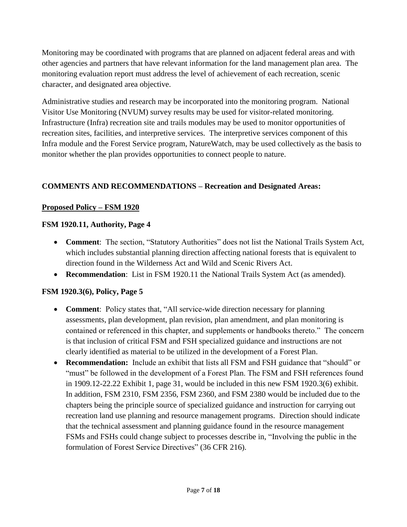Monitoring may be coordinated with programs that are planned on adjacent federal areas and with other agencies and partners that have relevant information for the land management plan area. The monitoring evaluation report must address the level of achievement of each recreation, scenic character, and designated area objective.

Administrative studies and research may be incorporated into the monitoring program. National Visitor Use Monitoring (NVUM) survey results may be used for visitor-related monitoring. Infrastructure (Infra) recreation site and trails modules may be used to monitor opportunities of recreation sites, facilities, and interpretive services. The interpretive services component of this Infra module and the Forest Service program, NatureWatch, may be used collectively as the basis to monitor whether the plan provides opportunities to connect people to nature.

# <span id="page-6-0"></span>**COMMENTS AND RECOMMENDATIONS – Recreation and Designated Areas:**

## **Proposed Policy – FSM 1920**

## <span id="page-6-1"></span>**FSM 1920.11, Authority, Page 4**

- **Comment**: The section, "Statutory Authorities" does not list the National Trails System Act, which includes substantial planning direction affecting national forests that is equivalent to direction found in the Wilderness Act and Wild and Scenic Rivers Act.
- **Recommendation**: List in FSM 1920.11 the National Trails System Act (as amended).

# <span id="page-6-2"></span>**FSM 1920.3(6), Policy, Page 5**

- **Comment**: Policy states that, "All service-wide direction necessary for planning assessments, plan development, plan revision, plan amendment, and plan monitoring is contained or referenced in this chapter, and supplements or handbooks thereto." The concern is that inclusion of critical FSM and FSH specialized guidance and instructions are not clearly identified as material to be utilized in the development of a Forest Plan.
- **Recommendation:** Include an exhibit that lists all FSM and FSH guidance that "should" or "must" be followed in the development of a Forest Plan. The FSM and FSH references found in 1909.12-22.22 Exhibit 1, page 31, would be included in this new FSM 1920.3(6) exhibit. In addition, FSM 2310, FSM 2356, FSM 2360, and FSM 2380 would be included due to the chapters being the principle source of specialized guidance and instruction for carrying out recreation land use planning and resource management programs. Direction should indicate that the technical assessment and planning guidance found in the resource management FSMs and FSHs could change subject to processes describe in, "Involving the public in the formulation of Forest Service Directives" (36 CFR 216).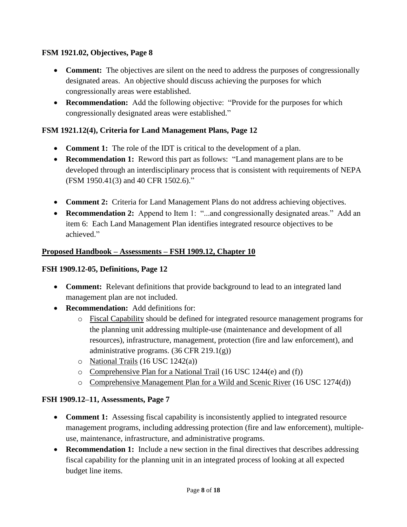### <span id="page-7-0"></span>**FSM 1921.02, Objectives, Page 8**

- **Comment:** The objectives are silent on the need to address the purposes of congressionally designated areas. An objective should discuss achieving the purposes for which congressionally areas were established.
- **Recommendation:** Add the following objective: "Provide for the purposes for which congressionally designated areas were established."

### <span id="page-7-1"></span>**FSM 1921.12(4), Criteria for Land Management Plans, Page 12**

- **Comment 1:** The role of the IDT is critical to the development of a plan.
- **Recommendation 1:** Reword this part as follows: "Land management plans are to be developed through an interdisciplinary process that is consistent with requirements of NEPA (FSM 1950.41(3) and 40 CFR 1502.6)."
- **Comment 2:** Criteria for Land Management Plans do not address achieving objectives.
- **Recommendation 2:** Append to Item 1: "...and congressionally designated areas." Add an item 6: Each Land Management Plan identifies integrated resource objectives to be achieved."

#### **Proposed Handbook – Assessments – FSH 1909.12, Chapter 10**

#### <span id="page-7-2"></span>**FSH 1909.12-05, Definitions, Page 12**

- **Comment:** Relevant definitions that provide background to lead to an integrated land management plan are not included.
- **Recommendation:** Add definitions for:
	- o Fiscal Capability should be defined for integrated resource management programs for the planning unit addressing multiple-use (maintenance and development of all resources), infrastructure, management, protection (fire and law enforcement), and administrative programs. (36 CFR 219.1(g))
	- o National Trails (16 USC 1242(a))
	- o Comprehensive Plan for a National Trail (16 USC 1244(e) and (f))
	- o Comprehensive Management Plan for a Wild and Scenic River (16 USC 1274(d))

#### <span id="page-7-3"></span>**FSH 1909.12–11, Assessments, Page 7**

- **Comment 1:** Assessing fiscal capability is inconsistently applied to integrated resource management programs, including addressing protection (fire and law enforcement), multipleuse, maintenance, infrastructure, and administrative programs.
- **Recommendation 1:** Include a new section in the final directives that describes addressing fiscal capability for the planning unit in an integrated process of looking at all expected budget line items.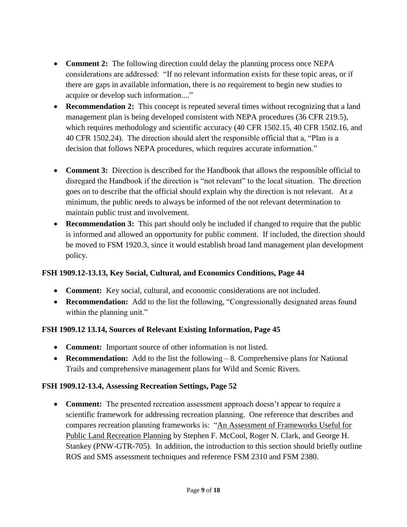- **Comment 2:** The following direction could delay the planning process once NEPA considerations are addressed: "If no relevant information exists for these topic areas, or if there are gaps in available information, there is no requirement to begin new studies to acquire or develop such information...."
- **Recommendation 2:** This concept is repeated several times without recognizing that a land management plan is being developed consistent with NEPA procedures (36 CFR 219.5), which requires methodology and scientific accuracy (40 CFR 1502.15, 40 CFR 1502.16, and 40 CFR 1502.24). The direction should alert the responsible official that a, "Plan is a decision that follows NEPA procedures, which requires accurate information."
- **Comment 3:** Direction is described for the Handbook that allows the responsible official to disregard the Handbook if the direction is "not relevant" to the local situation. The direction goes on to describe that the official should explain why the direction is not relevant. At a minimum, the public needs to always be informed of the not relevant determination to maintain public trust and involvement.
- **Recommendation 3:** This part should only be included if changed to require that the public is informed and allowed an opportunity for public comment. If included, the direction should be moved to FSM 1920.3, since it would establish broad land management plan development policy.

# <span id="page-8-0"></span>**FSH 1909.12-13.13, Key Social, Cultural, and Economics Conditions, Page 44**

- **Comment:** Key social, cultural, and economic considerations are not included.
- **Recommendation:** Add to the list the following, "Congressionally designated areas found within the planning unit."

# <span id="page-8-1"></span>**FSH 1909.12 13.14, Sources of Relevant Existing Information, Page 45**

- **Comment:** Important source of other information is not listed.
- **Recommendation:** Add to the list the following 8. Comprehensive plans for National Trails and comprehensive management plans for Wild and Scenic Rivers.

### <span id="page-8-2"></span>**FSH 1909.12-13.4, Assessing Recreation Settings, Page 52**

 **Comment:** The presented recreation assessment approach doesn't appear to require a scientific framework for addressing recreation planning. One reference that describes and compares recreation planning frameworks is: ["An Assessment of Frameworks Useful for](http://www.fs.fed.us/cdt/carrying_capacity_planning/assessment_frameworks_pnw_gtr705.pdf)  [Public Land Recreation Planning](http://www.fs.fed.us/cdt/carrying_capacity_planning/assessment_frameworks_pnw_gtr705.pdf) by Stephen F. McCool, Roger N. Clark, and George H. Stankey (PNW-GTR-705). In addition, the introduction to this section should briefly outline ROS and SMS assessment techniques and reference FSM 2310 and FSM 2380.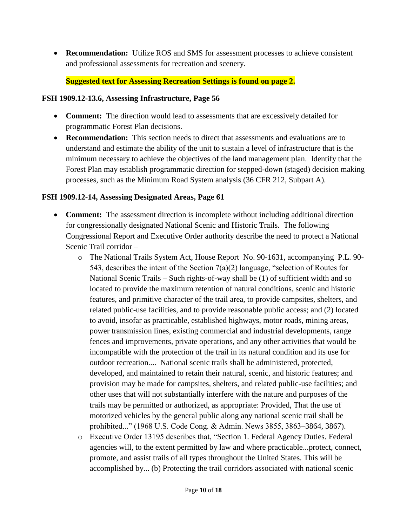**Recommendation:** Utilize ROS and SMS for assessment processes to achieve consistent and professional assessments for recreation and scenery.

#### **Suggested text for Assessing Recreation Settings is found on page 2.**

#### <span id="page-9-0"></span>**FSH 1909.12-13.6, Assessing Infrastructure, Page 56**

- **Comment:** The direction would lead to assessments that are excessively detailed for programmatic Forest Plan decisions.
- **Recommendation:** This section needs to direct that assessments and evaluations are to understand and estimate the ability of the unit to sustain a level of infrastructure that is the minimum necessary to achieve the objectives of the land management plan. Identify that the Forest Plan may establish programmatic direction for stepped-down (staged) decision making processes, such as the Minimum Road System analysis (36 CFR 212, Subpart A).

#### <span id="page-9-1"></span>**FSH 1909.12-14, Assessing Designated Areas, Page 61**

- **Comment:** The assessment direction is incomplete without including additional direction for congressionally designated National Scenic and Historic Trails. The following Congressional Report and Executive Order authority describe the need to protect a National Scenic Trail corridor –
	- o The National Trails System Act, House Report No. 90-1631, accompanying P.L. 90- 543, describes the intent of the Section 7(a)(2) language, "selection of Routes for National Scenic Trails – Such rights-of-way shall be (1) of sufficient width and so located to provide the maximum retention of natural conditions, scenic and historic features, and primitive character of the trail area, to provide campsites, shelters, and related public-use facilities, and to provide reasonable public access; and (2) located to avoid, insofar as practicable, established highways, motor roads, mining areas, power transmission lines, existing commercial and industrial developments, range fences and improvements, private operations, and any other activities that would be incompatible with the protection of the trail in its natural condition and its use for outdoor recreation.... National scenic trails shall be administered, protected, developed, and maintained to retain their natural, scenic, and historic features; and provision may be made for campsites, shelters, and related public-use facilities; and other uses that will not substantially interfere with the nature and purposes of the trails may be permitted or authorized, as appropriate: Provided, That the use of motorized vehicles by the general public along any national scenic trail shall be prohibited..." (1968 U.S. Code Cong. & Admin. News 3855, 3863–3864, 3867).
	- o Executive Order 13195 describes that, "Section 1. Federal Agency Duties. Federal agencies will, to the extent permitted by law and where practicable...protect, connect, promote, and assist trails of all types throughout the United States. This will be accomplished by... (b) Protecting the trail corridors associated with national scenic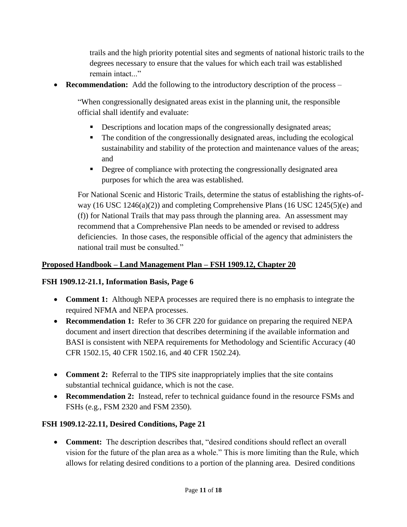trails and the high priority potential sites and segments of national historic trails to the degrees necessary to ensure that the values for which each trail was established remain intact..."

**Recommendation:** Add the following to the introductory description of the process –

"When congressionally designated areas exist in the planning unit, the responsible official shall identify and evaluate:

- Descriptions and location maps of the congressionally designated areas;
- The condition of the congressionally designated areas, including the ecological sustainability and stability of the protection and maintenance values of the areas; and
- Degree of compliance with protecting the congressionally designated area purposes for which the area was established.

For National Scenic and Historic Trails, determine the status of establishing the rights-ofway (16 USC 1246(a)(2)) and completing Comprehensive Plans (16 USC 1245(5)(e) and (f)) for National Trails that may pass through the planning area. An assessment may recommend that a Comprehensive Plan needs to be amended or revised to address deficiencies. In those cases, the responsible official of the agency that administers the national trail must be consulted."

### **Proposed Handbook – Land Management Plan – FSH 1909.12, Chapter 20**

### <span id="page-10-0"></span>**FSH 1909.12-21.1, Information Basis, Page 6**

- **Comment 1:** Although NEPA processes are required there is no emphasis to integrate the required NFMA and NEPA processes.
- **Recommendation 1:** Refer to 36 CFR 220 for guidance on preparing the required NEPA document and insert direction that describes determining if the available information and BASI is consistent with NEPA requirements for Methodology and Scientific Accuracy (40 CFR 1502.15, 40 CFR 1502.16, and 40 CFR 1502.24).
- **Comment 2:** Referral to the TIPS site inappropriately implies that the site contains substantial technical guidance, which is not the case.
- **Recommendation 2:** Instead, refer to technical guidance found in the resource FSMs and FSHs (e.g., FSM 2320 and FSM 2350).

### <span id="page-10-1"></span>**FSH 1909.12-22.11, Desired Conditions, Page 21**

 **Comment:** The description describes that, "desired conditions should reflect an overall vision for the future of the plan area as a whole." This is more limiting than the Rule, which allows for relating desired conditions to a portion of the planning area. Desired conditions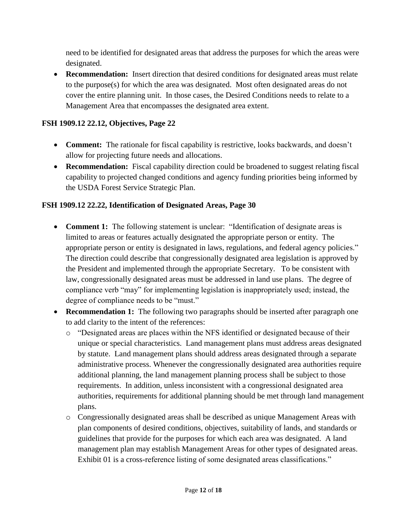need to be identified for designated areas that address the purposes for which the areas were designated.

 **Recommendation:** Insert direction that desired conditions for designated areas must relate to the purpose(s) for which the area was designated. Most often designated areas do not cover the entire planning unit. In those cases, the Desired Conditions needs to relate to a Management Area that encompasses the designated area extent.

### <span id="page-11-0"></span>**FSH 1909.12 22.12, Objectives, Page 22**

- **Comment:** The rationale for fiscal capability is restrictive, looks backwards, and doesn't allow for projecting future needs and allocations.
- **Recommendation:** Fiscal capability direction could be broadened to suggest relating fiscal capability to projected changed conditions and agency funding priorities being informed by the USDA Forest Service Strategic Plan.

## <span id="page-11-1"></span>**FSH 1909.12 22.22, Identification of Designated Areas, Page 30**

- **Comment 1:** The following statement is unclear: "Identification of designate areas is limited to areas or features actually designated the appropriate person or entity. The appropriate person or entity is designated in laws, regulations, and federal agency policies." The direction could describe that congressionally designated area legislation is approved by the President and implemented through the appropriate Secretary. To be consistent with law, congressionally designated areas must be addressed in land use plans. The degree of compliance verb "may" for implementing legislation is inappropriately used; instead, the degree of compliance needs to be "must."
- **Recommendation 1:** The following two paragraphs should be inserted after paragraph one to add clarity to the intent of the references:
	- o "Designated areas are places within the NFS identified or designated because of their unique or special characteristics. Land management plans must address areas designated by statute. Land management plans should address areas designated through a separate administrative process. Whenever the congressionally designated area authorities require additional planning, the land management planning process shall be subject to those requirements. In addition, unless inconsistent with a congressional designated area authorities, requirements for additional planning should be met through land management plans.
	- o Congressionally designated areas shall be described as unique Management Areas with plan components of desired conditions, objectives, suitability of lands, and standards or guidelines that provide for the purposes for which each area was designated. A land management plan may establish Management Areas for other types of designated areas. Exhibit 01 is a cross-reference listing of some designated areas classifications."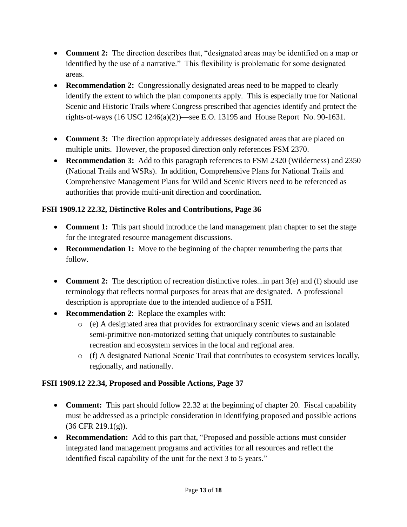- **Comment 2:** The direction describes that, "designated areas may be identified on a map or identified by the use of a narrative." This flexibility is problematic for some designated areas.
- **Recommendation 2:** Congressionally designated areas need to be mapped to clearly identify the extent to which the plan components apply. This is especially true for National Scenic and Historic Trails where Congress prescribed that agencies identify and protect the rights-of-ways (16 USC 1246(a)(2))—see E.O. 13195 and House Report No. 90-1631.
- **Comment 3:** The direction appropriately addresses designated areas that are placed on multiple units. However, the proposed direction only references FSM 2370.
- **Recommendation 3:** Add to this paragraph references to FSM 2320 (Wilderness) and 2350 (National Trails and WSRs). In addition, Comprehensive Plans for National Trails and Comprehensive Management Plans for Wild and Scenic Rivers need to be referenced as authorities that provide multi-unit direction and coordination.

## <span id="page-12-0"></span>**FSH 1909.12 22.32, Distinctive Roles and Contributions, Page 36**

- **Comment 1:** This part should introduce the land management plan chapter to set the stage for the integrated resource management discussions.
- **Recommendation 1:** Move to the beginning of the chapter renumbering the parts that follow.
- **Comment 2:** The description of recreation distinctive roles...in part 3(e) and (f) should use terminology that reflects normal purposes for areas that are designated. A professional description is appropriate due to the intended audience of a FSH.
- **Recommendation 2**: Replace the examples with:
	- o (e) A designated area that provides for extraordinary scenic views and an isolated semi-primitive non-motorized setting that uniquely contributes to sustainable recreation and ecosystem services in the local and regional area.
	- $\circ$  (f) A designated National Scenic Trail that contributes to ecosystem services locally, regionally, and nationally.

### <span id="page-12-1"></span>**FSH 1909.12 22.34, Proposed and Possible Actions, Page 37**

- **Comment:** This part should follow 22.32 at the beginning of chapter 20. Fiscal capability must be addressed as a principle consideration in identifying proposed and possible actions  $(36 \text{ CFR } 219.1(g))$ .
- **Recommendation:** Add to this part that, "Proposed and possible actions must consider integrated land management programs and activities for all resources and reflect the identified fiscal capability of the unit for the next 3 to 5 years."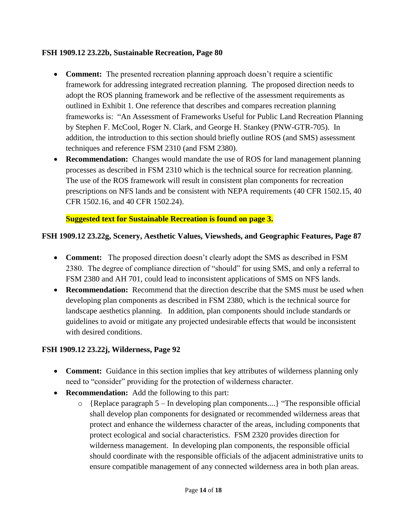#### <span id="page-13-0"></span>**FSH 1909.12 23.22b, Sustainable Recreation, Page 80**

- **Comment:** The presented recreation planning approach doesn't require a scientific framework for addressing integrated recreation planning. The proposed direction needs to adopt the ROS planning framework and be reflective of the assessment requirements as outlined in Exhibit 1. One reference that describes and compares recreation planning frameworks is: "An Assessment of Frameworks Useful for Public Land Recreation Planning by Stephen F. McCool, Roger N. Clark, and George H. Stankey (PNW-GTR-705). In addition, the introduction to this section should briefly outline ROS (and SMS) assessment techniques and reference FSM 2310 (and FSM 2380).
- **Recommendation:** Changes would mandate the use of ROS for land management planning processes as described in FSM 2310 which is the technical source for recreation planning. The use of the ROS framework will result in consistent plan components for recreation prescriptions on NFS lands and be consistent with NEPA requirements (40 CFR 1502.15, 40 CFR 1502.16, and 40 CFR 1502.24).

**Suggested text for Sustainable Recreation is found on page 3.**

### <span id="page-13-1"></span>**FSH 1909.12 23.22g, Scenery, Aesthetic Values, Viewsheds, and Geographic Features, Page 87**

- **Comment:** The proposed direction doesn't clearly adopt the SMS as described in FSM 2380. The degree of compliance direction of "should" for using SMS, and only a referral to FSM 2380 and AH 701, could lead to inconsistent applications of SMS on NFS lands.
- **Recommendation:** Recommend that the direction describe that the SMS must be used when developing plan components as described in FSM 2380, which is the technical source for landscape aesthetics planning. In addition, plan components should include standards or guidelines to avoid or mitigate any projected undesirable effects that would be inconsistent with desired conditions.

### <span id="page-13-2"></span>**FSH 1909.12 23.22j, Wilderness, Page 92**

- **Comment:** Guidance in this section implies that key attributes of wilderness planning only need to "consider" providing for the protection of wilderness character.
- **Recommendation:** Add the following to this part:
	- $\circ$  {Replace paragraph 5 In developing plan components....} "The responsible official shall develop plan components for designated or recommended wilderness areas that protect and enhance the wilderness character of the areas, including components that protect ecological and social characteristics. FSM 2320 provides direction for wilderness management. In developing plan components, the responsible official should coordinate with the responsible officials of the adjacent administrative units to ensure compatible management of any connected wilderness area in both plan areas.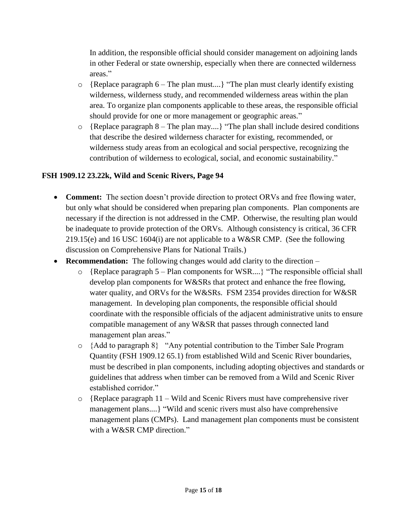In addition, the responsible official should consider management on adjoining lands in other Federal or state ownership, especially when there are connected wilderness areas."

- $\circ$  {Replace paragraph 6 The plan must....} "The plan must clearly identify existing wilderness, wilderness study, and recommended wilderness areas within the plan area. To organize plan components applicable to these areas, the responsible official should provide for one or more management or geographic areas."
- o {Replace paragraph 8 The plan may....} "The plan shall include desired conditions that describe the desired wilderness character for existing, recommended, or wilderness study areas from an ecological and social perspective, recognizing the contribution of wilderness to ecological, social, and economic sustainability."

### <span id="page-14-0"></span>**FSH 1909.12 23.22k, Wild and Scenic Rivers, Page 94**

- **Comment:** The section doesn't provide direction to protect ORVs and free flowing water, but only what should be considered when preparing plan components. Plan components are necessary if the direction is not addressed in the CMP. Otherwise, the resulting plan would be inadequate to provide protection of the ORVs. Although consistency is critical, 36 CFR 219.15(e) and 16 USC 1604(i) are not applicable to a W&SR CMP. (See the following discussion on Comprehensive Plans for National Trails.)
- **Recommendation:** The following changes would add clarity to the direction
	- o {Replace paragraph 5 Plan components for WSR....} "The responsible official shall develop plan components for W&SRs that protect and enhance the free flowing, water quality, and ORVs for the W&SRs. FSM 2354 provides direction for W&SR management. In developing plan components, the responsible official should coordinate with the responsible officials of the adjacent administrative units to ensure compatible management of any W&SR that passes through connected land management plan areas."
	- o {Add to paragraph 8} "Any potential contribution to the Timber Sale Program Quantity (FSH 1909.12 65.1) from established Wild and Scenic River boundaries, must be described in plan components, including adopting objectives and standards or guidelines that address when timber can be removed from a Wild and Scenic River established corridor."
	- $\circ$  {Replace paragraph 11 Wild and Scenic Rivers must have comprehensive river management plans....} "Wild and scenic rivers must also have comprehensive management plans (CMPs). Land management plan components must be consistent with a W&SR CMP direction."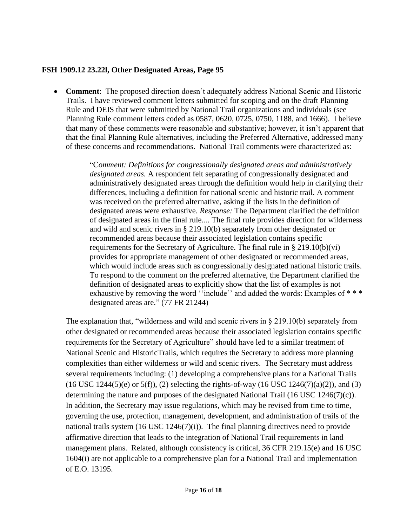#### <span id="page-15-0"></span>**FSH 1909.12 23.22l, Other Designated Areas, Page 95**

 **Comment**: The proposed direction doesn't adequately address National Scenic and Historic Trails. I have reviewed comment letters submitted for scoping and on the draft Planning Rule and DEIS that were submitted by National Trail organizations and individuals (see Planning Rule comment letters coded as 0587, 0620, 0725, 0750, 1188, and 1666). I believe that many of these comments were reasonable and substantive; however, it isn't apparent that that the final Planning Rule alternatives, including the Preferred Alternative, addressed many of these concerns and recommendations. National Trail comments were characterized as:

> "C*omment: Definitions for congressionally designated areas and administratively designated areas.* A respondent felt separating of congressionally designated and administratively designated areas through the definition would help in clarifying their differences, including a definition for national scenic and historic trail. A comment was received on the preferred alternative, asking if the lists in the definition of designated areas were exhaustive. *Response:* The Department clarified the definition of designated areas in the final rule.... The final rule provides direction for wilderness and wild and scenic rivers in § 219.10(b) separately from other designated or recommended areas because their associated legislation contains specific requirements for the Secretary of Agriculture. The final rule in § 219.10(b)(vi) provides for appropriate management of other designated or recommended areas, which would include areas such as congressionally designated national historic trails. To respond to the comment on the preferred alternative, the Department clarified the definition of designated areas to explicitly show that the list of examples is not exhaustive by removing the word "include" and added the words: Examples of \*\*\* designated areas are." (77 FR 21244)

The explanation that, "wilderness and wild and scenic rivers in  $\S 219.10(b)$  separately from other designated or recommended areas because their associated legislation contains specific requirements for the Secretary of Agriculture" should have led to a similar treatment of National Scenic and HistoricTrails, which requires the Secretary to address more planning complexities than either wilderness or wild and scenic rivers. The Secretary must address several requirements including: (1) developing a comprehensive plans for a National Trails  $(16$  USC 1244(5)(e) or 5(f)), (2) selecting the rights-of-way (16 USC 1246(7)(a)(2)), and (3) determining the nature and purposes of the designated National Trail (16 USC 1246(7)(c)). In addition, the Secretary may issue regulations, which may be revised from time to time, governing the use, protection, management, development, and administration of trails of the national trails system (16 USC 1246(7)(i)).The final planning directives need to provide affirmative direction that leads to the integration of National Trail requirements in land management plans. Related, although consistency is critical, 36 CFR 219.15(e) and 16 USC 1604(i) are not applicable to a comprehensive plan for a National Trail and implementation of E.O. 13195.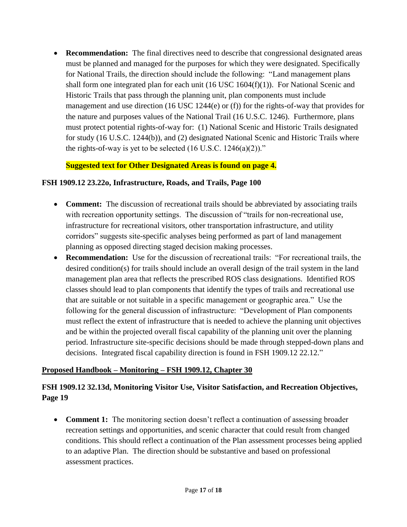• **Recommendation:** The final directives need to describe that congressional designated areas must be planned and managed for the purposes for which they were designated. Specifically for National Trails, the direction should include the following: "Land management plans shall form one integrated plan for each unit  $(16$  USC  $1604(f)(1)$ ). For National Scenic and Historic Trails that pass through the planning unit, plan components must include management and use direction (16 USC 1244(e) or (f)) for the rights-of-way that provides for the nature and purposes values of the National Trail (16 U.S.C. 1246). Furthermore, plans must protect potential rights-of-way for: (1) National Scenic and Historic Trails designated for study (16 U.S.C. 1244(b)), and (2) designated National Scenic and Historic Trails where the rights-of-way is yet to be selected  $(16$  U.S.C.  $1246(a)(2)$ ."

### **Suggested text for Other Designated Areas is found on page 4.**

#### <span id="page-16-0"></span>**FSH 1909.12 23.22o, Infrastructure, Roads, and Trails, Page 100**

- **Comment:** The discussion of recreational trails should be abbreviated by associating trails with recreation opportunity settings. The discussion of "trails for non-recreational use, infrastructure for recreational visitors, other transportation infrastructure, and utility corridors" suggests site-specific analyses being performed as part of land management planning as opposed directing staged decision making processes.
- **Recommendation:** Use for the discussion of recreational trails: "For recreational trails, the desired condition(s) for trails should include an overall design of the trail system in the land management plan area that reflects the prescribed ROS class designations. Identified ROS classes should lead to plan components that identify the types of trails and recreational use that are suitable or not suitable in a specific management or geographic area." Use the following for the general discussion of infrastructure: "Development of Plan components must reflect the extent of infrastructure that is needed to achieve the planning unit objectives and be within the projected overall fiscal capability of the planning unit over the planning period. Infrastructure site-specific decisions should be made through stepped-down plans and decisions. Integrated fiscal capability direction is found in FSH 1909.12 22.12."

#### **Proposed Handbook – Monitoring – FSH 1909.12, Chapter 30**

## <span id="page-16-1"></span>**FSH 1909.12 32.13d, Monitoring Visitor Use, Visitor Satisfaction, and Recreation Objectives, Page 19**

• **Comment 1:** The monitoring section doesn't reflect a continuation of assessing broader recreation settings and opportunities, and scenic character that could result from changed conditions. This should reflect a continuation of the Plan assessment processes being applied to an adaptive Plan. The direction should be substantive and based on professional assessment practices.